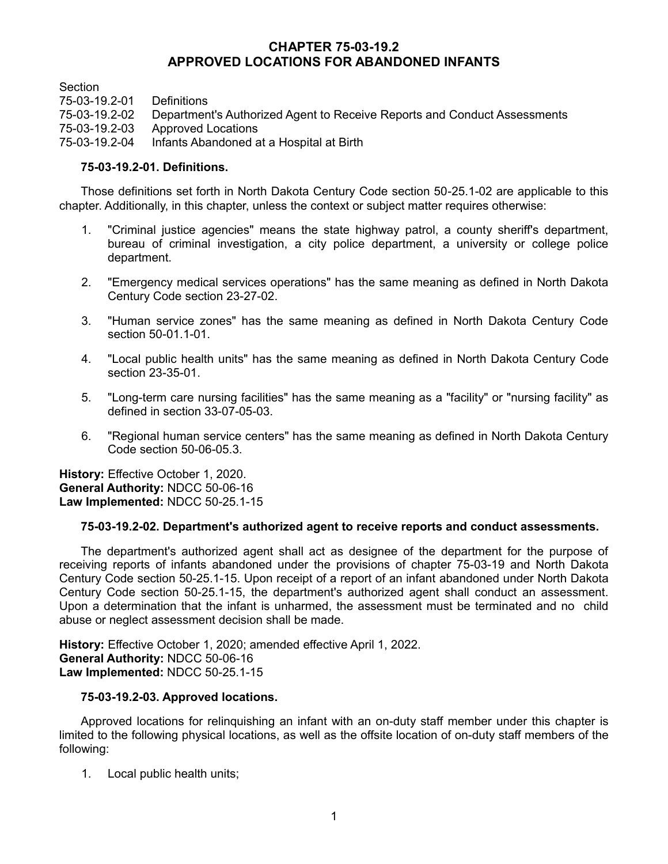# **CHAPTER 75-03-19.2 APPROVED LOCATIONS FOR ABANDONED INFANTS**

**Section** 

75-03-19.2-01 Definitions

Department's Authorized Agent to Receive Reports and Conduct Assessments

75-03-19.2-03 Approved Locations

75-03-19.2-04 Infants Abandoned at a Hospital at Birth

### **75-03-19.2-01. Definitions.**

Those definitions set forth in North Dakota Century Code section 50-25.1-02 are applicable to this chapter. Additionally, in this chapter, unless the context or subject matter requires otherwise:

- 1. "Criminal justice agencies" means the state highway patrol, a county sheriff's department, bureau of criminal investigation, a city police department, a university or college police department.
- 2. "Emergency medical services operations" has the same meaning as defined in North Dakota Century Code section 23-27-02.
- 3. "Human service zones" has the same meaning as defined in North Dakota Century Code section 50-01.1-01.
- 4. "Local public health units" has the same meaning as defined in North Dakota Century Code section 23-35-01.
- 5. "Long-term care nursing facilities" has the same meaning as a "facility" or "nursing facility" as defined in section 33-07-05-03.
- 6. "Regional human service centers" has the same meaning as defined in North Dakota Century Code section 50-06-05.3.

**History:** Effective October 1, 2020. **General Authority:** NDCC 50-06-16 **Law Implemented:** NDCC 50-25.1-15

### **75-03-19.2-02. Department's authorized agent to receive reports and conduct assessments.**

The department's authorized agent shall act as designee of the department for the purpose of receiving reports of infants abandoned under the provisions of chapter 75-03-19 and North Dakota Century Code section 50-25.1-15. Upon receipt of a report of an infant abandoned under North Dakota Century Code section 50-25.1-15, the department's authorized agent shall conduct an assessment. Upon a determination that the infant is unharmed, the assessment must be terminated and no child abuse or neglect assessment decision shall be made.

**History:** Effective October 1, 2020; amended effective April 1, 2022. **General Authority:** NDCC 50-06-16 **Law Implemented:** NDCC 50-25.1-15

### **75-03-19.2-03. Approved locations.**

Approved locations for relinquishing an infant with an on-duty staff member under this chapter is limited to the following physical locations, as well as the offsite location of on-duty staff members of the following:

1. Local public health units;